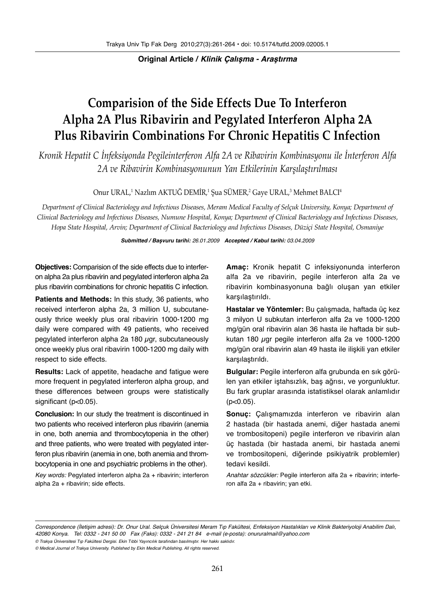### **Original Article / Klinik Çalışma - Araştırma**

# **Comparision of the Side Effects Due To Interferon Alpha 2A Plus Ribavirin and Pegylated Interferon Alpha 2A Plus Ribavirin Combinations For Chronic Hepatitis C Infection**

*Kronik Hepatit C İnfeksiyonda Pegileinterferon Alfa 2A ve Ribavirin Kombinasyonu ile İnterferon Alfa 2A ve Ribavirin Kombinasyonunun Yan Etkilerinin Karşılaştırılması*

## Onur URAL,' Nazlım AKTUG DEMIR,' Şua SUMER,<sup>2</sup> Gaye URAL,<sup>3</sup> Mehmet BALCI<sup>4</sup>

*Department of Clinical Bacteriology and Infectious Diseases, Meram Medical Faculty of Selçuk University, Konya; Department of Clinical Bacteriology and Infectious Diseases, Numune Hospital, Konya; Department of Clinical Bacteriology and Infectious Diseases, Hopa State Hospital, Arvin; Department of Clinical Bacteriology and Infectious Diseases, Düziçi State Hospital, Osmaniye*

#### **Submitted / Başvuru tarihi:** 26.01.2009 **Accepted / Kabul tarihi:** 03.04.2009

**Objectives:** Comparision of the side effects due to interferon alpha 2a plus ribavirin and pegylated interferon alpha 2a plus ribavirin combinations for chronic hepatitis C infection.

**Patients and Methods:** In this study, 36 patients, who received interferon alpha 2a, 3 million U, subcutaneously thrice weekly plus oral ribavirin 1000-1200 mg daily were compared with 49 patients, who received pegylated interferon alpha 2a 180  $\mu$ gr, subcutaneously once weekly plus oral ribavirin 1000-1200 mg daily with respect to side effects.

**Results:** Lack of appetite, headache and fatigue were more frequent in pegylated interferon alpha group, and these differences between groups were statistically significant (p<0.05).

**Conclusion:** In our study the treatment is discontinued in two patients who received interferon plus ribavirin (anemia in one, both anemia and thrombocytopenia in the other) and three patients, who were treated with pegylated interferon plus ribavirin (anemia in one, both anemia and thrombocytopenia in one and psychiatric problems in the other).

Key words: Pegylated interferon alpha 2a + ribavirin; interferon alpha 2a + ribavirin; side effects.

**Amaç:** Kronik hepatit C infeksiyonunda interferon alfa 2a ve ribavirin, pegile interferon alfa 2a ve ribavirin kombinasyonuna bağlı oluşan yan etkiler karşılaştırıldı.

**Hastalar ve Yöntemler:** Bu çalışmada, haftada üç kez 3 milyon U subkutan interferon alfa 2a ve 1000-1200 mg/gün oral ribavirin alan 36 hasta ile haftada bir subkutan 180  $\mu$ gr pegile interferon alfa 2a ve 1000-1200 mg/gün oral ribavirin alan 49 hasta ile ilişkili yan etkiler karşılaştırıldı.

**Bulgular:** Pegile interferon alfa grubunda en sık görülen yan etkiler iştahsızlık, baş ağrısı, ve yorgunluktur. Bu fark gruplar arasında istatistiksel olarak anlamlıdır  $(p<0.05)$ .

**Sonuç:** Çalışmamızda interferon ve ribavirin alan 2 hastada (bir hastada anemi, diğer hastada anemi ve trombositopeni) pegile interferon ve ribavirin alan üç hastada (bir hastada anemi, bir hastada anemi ve trombositopeni, diğerinde psikiyatrik problemler) tedavi kesildi.

Anahtar sözcükler: Pegile interferon alfa 2a + ribavirin; interferon alfa 2a + ribavirin; yan etki.

Correspondence (İletişim adresi): Dr. Onur Ural. Selçuk Üniversitesi Meram Tıp Fakültesi, Enfeksiyon Hastalıkları ve Klinik Bakteriyoloji Anabilim Dalı, 42080 Konya. Tel: 0332 - 241 50 00 Fax (Faks): 0332 - 241 21 84 e-mail (e-posta): onururalmail@yahoo.com

<sup>©</sup> Trakya Üniversitesi Tıp Fakültesi Dergisi. Ekin Tıbbi Yayıncılık tarafından basılmıştır. Her hakkı saklıdır.

<sup>©</sup> Medical Journal of Trakya University. Published by Ekin Medical Publishing. All rights reserved.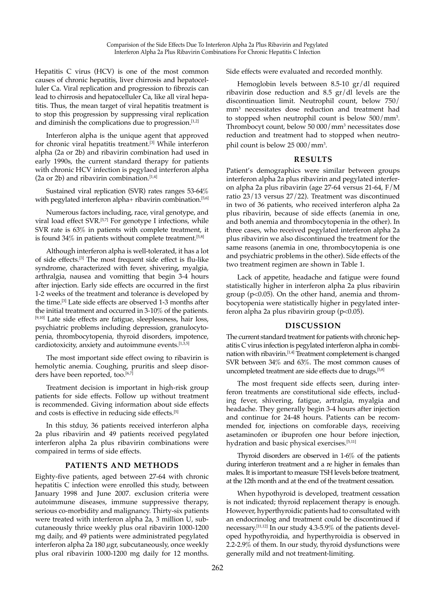Hepatitis C virus (HCV) is one of the most common causes of chronic hepatitis, liver chirrosis and hepatocelluler Ca. Viral replication and progression to fibrozis can lead to chirrosis and hepatocelluler Ca, like all viral hepatitis. Thus, the mean target of viral hepatitis treatment is to stop this progression by suppressing viral replication and diminish the complications due to progression.<sup>[1,2]</sup>

Interferon alpha is the unique agent that approved for chronic viral hepatitis treatment.[3] While interferon alpha (2a or 2b) and ribavirin combination had used in early 1990s, the current standard therapy for patients with chronic HCV infection is pegylaed interferon alpha (2a or 2b) and ribavirin combination. $[1,4]$ 

Sustained viral replication (SVR) rates ranges 53-64% with pegylated interferon alpha+ ribavirin combination.<sup>[5,6]</sup>

Numerous factors including, race, viral genotype, and viral load effect SVR.<sup>[5,7]</sup> For genotype I infections, while SVR rate is 63% in patients with complete treatment, it is found  $34\%$  in patients without complete treatment.<sup>[5,8]</sup>

Although interferon alpha is well-tolerated, it has a lot of side effects.[3] The most frequent side effect is flu-like syndrome, characterized with fever, shivering, myalgia, arthralgia, nausea and vomitting that begin 3-4 hours after injection. Early side effects are occurred in the first 1-2 weeks of the treatment and tolerance is developed by the time.[3] Late side effects are observed 1-3 months after the initial treatment and occurred in 3-10% of the patients. [9,10] Late side effects are fatigue, sleeplessness, hair loss, psychiatric problems including depression, granulocytopenia, thrombocytopenia, thyroid disorders, impotence, cardiotoxicity, anxiety and autoimmune events.<sup>[1,3,5]</sup>

The most important side effect owing to ribavirin is hemolytic anemia. Coughing, pruritis and sleep disorders have been reported, too.<sup>[6,7]</sup>

Treatment decision is important in high-risk group patients for side effects. Follow up without treatment is recommended. Giving information about side effects and costs is effective in reducing side effects.<sup>[5]</sup>

In this stduy, 36 patients received interferon alpha 2a plus ribavirin and 49 patients received pegylated interferon alpha 2a plus ribavirin combinations were compaired in terms of side effects.

## **PATIENTS AND METHODS**

Eighty-five patients, aged between 27-64 with chronic hepatitis C infection were enrolled this study, between January 1998 and June 2007. exclusion criteria were autoimmune diseases, immune suppressive therapy, serious co-morbidity and malignancy. Thirty-six patients were treated with interferon alpha 2a, 3 million U, subcutaneously thrice weekly plus oral ribavirin 1000-1200 mg daily, and 49 patients were administrated pegylated interferon alpha 2a 180 µgr, subcutaneously, once weekly plus oral ribavirin 1000-1200 mg daily for 12 months.

Side effects were evaluated and recorded monthly.

Hemoglobin levels between 8.5-10 gr/dl required ribavirin dose reduction and 8.5 gr/dl levels are the discontinuation limit. Neutrophil count, below 750/ mm<sup>3</sup> necessitates dose reduction and treatment had to stopped when neutrophil count is below 500/mm3 . Thrombocyt count, below 50 000/mm3 necessitates dose reduction and treatment had to stopped when neutrophil count is below 25 000/mm3 .

#### **RESULTS**

Patient's demographics were similar between groups interferon alpha 2a plus ribavirin and pegylated interferon alpha 2a plus ribavirin (age 27-64 versus 21-64, F/M ratio 23/13 versus 27/22). Treatment was discontinued in two of 36 patients, who received interferon alpha 2a plus ribavirin, because of side effects (anemia in one, and both anemia and thrombocytopenia in the other). In three cases, who received pegylated interferon alpha 2a plus ribavirin we also discontinued the treatment for the same reasons (anemia in one, thrombocytopenia is one and psychiatric problems in the other). Side effects of the two treatment regimen are shown in Table 1.

Lack of appetite, headache and fatigue were found statistically higher in interferon alpha 2a plus ribavirin group (p<0.05). On the other hand, anemia and thrombocytopenia were statistically higher in pegylated interferon alpha 2a plus ribavirin group ( $p$ <0.05).

#### **DISCUSSION**

The current standard treatment for patients with chronic hepatitis C virus infection is pegylated interferon alpha in combination with ribavirin.[1,4] Treatment completement is changed SVR between 34% and 63%. The most common causes of uncompleted treatment are side effects due to drugs.[5,8]

The most frequent side effects seen, during interferon treatments are constitutional side effects, including fever, shivering, fatigue, artralgia, myalgia and headache. They generally begin 3-4 hours after injection and continue for 24-48 hours. Patients can be recommended for, injections on comforable days, receiving asetaminofen or ibuprofen one hour before injection, hydration and basic physical exercises.<sup>[5,11]</sup>

Thyroid disorders are observed in 1-6% of the patients during interferon treatment and a re higher in females than males. It is important to measure TSH levels before treatment, at the 12th month and at the end of the treatment cessation.

When hypothyroid is developed, treatment cessation is not indicated; thyroid replacement therapy is enough. However, hyperthyroidic patients had to consultated with an endocrinolog and treatment could be discontinued if necessary.[11,12] In our study 4.3-5.9% of the patients developed hypothyroidia, and hyperthyroidia is observed in 2.2-2.9% of them. In our study, thyroid dysfunctions were generally mild and not treatment-limiting.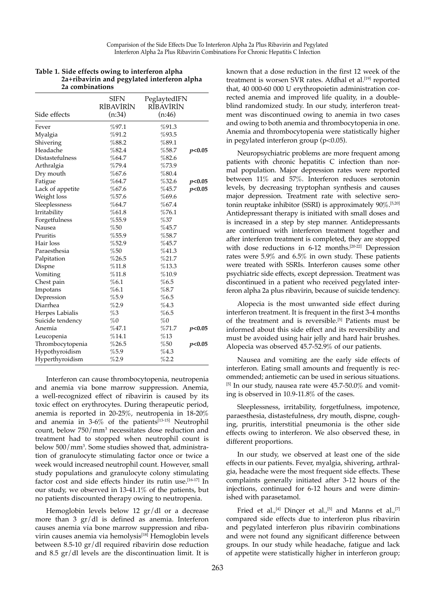| 2a combinations  |                             |                                     |        |
|------------------|-----------------------------|-------------------------------------|--------|
| Side effects     | SIFN<br>RİBAVİRİN<br>(n:34) | PeglaytedIFN<br>RÍBÁVÍRÍN<br>(n:46) |        |
| Fever            | %97.1                       | %91.3                               |        |
| Myalgia          | %91.2                       | %93.5                               |        |
| Shivering        | %88.2                       | %89.1                               |        |
| Headache         | %82.4                       | %58.7                               | p<0.05 |
| Distastefulness  | %64.7                       | %82.6                               |        |
| Arthralgia       | %79.4                       | %73.9                               |        |
| Dry mouth        | %67.6                       | %80.4                               |        |
| Fatigue          | %64.7                       | %32.6                               | p<0.05 |
| Lack of appetite | %67.6                       | %45.7                               | p<0.05 |
| Weight loss      | %57.6                       | %69.6                               |        |
| Sleeplessness    | %64.7                       | %67.4                               |        |
| Irritability     | %61.8                       | %76.1                               |        |
| Forgetfulness    | %55.9                       | %37                                 |        |
| Nausea           | %50                         | $\%$ 45.7                           |        |
| Pruritis         | %55.9                       | %58.7                               |        |
| Hair loss        | %52.9                       | %45.7                               |        |
| Paraesthesia     | %50                         | %41.3                               |        |
| Palpitation      | %26.5                       | %21.7                               |        |
| Dispne           | %11.8                       | %13.3                               |        |
| Vomiting         | %11.8                       | %10.9                               |        |
| Chest pain       | %6.1                        | %6.5                                |        |
| Impotans         | %6.1                        | %8.7                                |        |
| Depression       | %5.9                        | %6.5                                |        |
| Diarrhea         | %2.9                        | %4.3                                |        |
| Herpes Labialis  | %3                          | $\%6.5$                             |        |
| Suicide tendency | %0                          | $\%0$                               |        |
| Anemia           | %47.1                       | %71.7                               | p<0.05 |
| Leucopenia       | %14.1                       | $\%13$                              |        |
| Thrombocytopenia | %26.5                       | %50                                 | p<0.05 |
| Hypothyroidism   | %5.9                        | %4.3                                |        |
| Hyperthyroidism  | %2.9                        | %2.2                                |        |

| Table 1. Side effects owing to interferon alpha |
|-------------------------------------------------|
| 2a+ribavirin and pegylated interferon alpha     |
| 23 combinations                                 |

Interferon can cause thrombocytopenia, neutropenia and anemia via bone marrow suppression. Anemia, a well-recognized effect of ribavirin is caused by its toxic effect on erythrocytes. During therapeutic period, anemia is reported in 20-25%, neutropenia in 18-20% and anemia in  $3-6\%$  of the patients<sup>[13-15]</sup> Neutrophil count, below  $750/\text{mm}^3$  necessitates dose reduction and treatment had to stopped when neutrophil count is below 500/mm3 . Some studies showed that, administration of granulocyte stimulating factor once or twice a week would increased neutrophil count. However, small study populations and granulocyte colony stimulating factor cost and side effects hinder its rutin use.[16-17] In our study, we observed in 13-41.1% of the patients, but no patients discounted therapy owing to neutropenia.

Hemoglobin levels below 12 gr/dl or a decrease more than 3 gr/dl is defined as anemia. Interferon causes anemia via bone marrow suppression and ribavirin causes anemia via hemolysis<sup>[18]</sup> Hemoglobin levels between 8.5-10 gr/dl required ribavirin dose reduction and 8.5 gr/dl levels are the discontinuation limit. It is known that a dose reduction in the first 12 week of the treatment is worsen SVR rates. Afdhal et al.<sup>[19]</sup> reported that, 40 000-60 000 U erythropoietin administration corrected anemia and improved life quality, in a doubleblind randomized study. In our study, interferon treatment was discontinued owing to anemia in two cases and owing to both anemia and thrombocytopenia in one. Anemia and thrombocytopenia were statistically higher in pegylated interferon group  $(p<0.05)$ .

Neuropsychiatric problems are more frequent among patients with chronic hepatitis C infection than normal population. Major depression rates were reported between 11% and 57%. Interferon reduces serotonin levels, by decreasing tryptophan synthesis and causes major depression. Treatment rate with selective serotonin reuptake inhibitor (SSRI) is approximately  $90\%$ .<sup>[5,20]</sup> Antidepressant therapy is initiated with small doses and is increased in a step by step manner. Antidepressants are continued with interferon treatment together and after interferon treatment is completed, they are stopped with dose reductions in 6-12 months.<sup>[20-22]</sup> Depression rates were 5.9% and 6.5% in own study. These patients were treated with SSRIs. Interferon causes some other psychiatric side effects, except depression. Treatment was discontinued in a patient who received pegylated interferon alpha 2a plus ribavirin, because of suicide tendency.

Alopecia is the most unwanted side effect during interferon treatment. It is frequent in the first 3-4 months of the treatment and is reversible.[5] Patients must be informed about this side effect and its reversibility and must be avoided using hair jelly and hard hair brushes. Alopecia was observed 45.7-52.9% of our patients.

Nausea and vomiting are the early side effects of interferon. Eating small amounts and frequently is recommended; antiemetic can be used in serious situations.  $^{[5]}$  In our study, nausea rate were 45.7-50.0% and vomiting is observed in 10.9-11.8% of the cases.

Sleeplessness, irritability, forgetfulness, impotence, paraesthesia, distastefulness, dry mouth, dispne, coughing, pruritis, interstitial pneumonia is the other side effects owing to interferon. We also observed these, in different proportions.

In our study, we observed at least one of the side effects in our patients. Fever, myalgia, shivering, arthralgia, headache were the most frequent side effects. These complaints generally initiated after 3-12 hours of the injections, continued for 6-12 hours and were diminished with parasetamol.

Fried et al.,<sup>[4]</sup> Dinçer et al.,<sup>[5]</sup> and Manns et al.,<sup>[7]</sup> compared side effects due to interferon plus ribavirin and pegylated interferon plus ribavirin combinations and were not found any significant difference between groups. In our study while headache, fatigue and lack of appetite were statistically higher in interferon group;